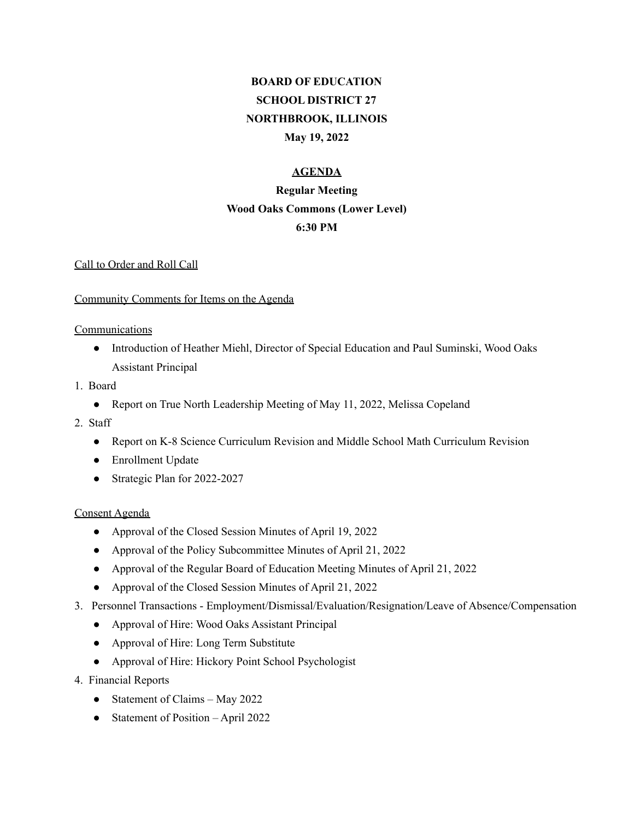# **BOARD OF EDUCATION SCHOOL DISTRICT 27 NORTHBROOK, ILLINOIS May 19, 2022**

## **AGENDA**

## **Regular Meeting Wood Oaks Commons (Lower Level) 6:30 PM**

## Call to Order and Roll Call

## Community Comments for Items on the Agenda

## **Communications**

- Introduction of Heather Miehl, Director of Special Education and Paul Suminski, Wood Oaks Assistant Principal
- 1. Board
	- Report on True North Leadership Meeting of May 11, 2022, Melissa Copeland
- 2. Staff
	- Report on K-8 Science Curriculum Revision and Middle School Math Curriculum Revision
	- Enrollment Update
	- Strategic Plan for 2022-2027

## Consent Agenda

- Approval of the Closed Session Minutes of April 19, 2022
- Approval of the Policy Subcommittee Minutes of April 21, 2022
- Approval of the Regular Board of Education Meeting Minutes of April 21, 2022
- Approval of the Closed Session Minutes of April 21, 2022
- 3. Personnel Transactions Employment/Dismissal/Evaluation/Resignation/Leave of Absence/Compensation
	- Approval of Hire: Wood Oaks Assistant Principal
	- Approval of Hire: Long Term Substitute
	- Approval of Hire: Hickory Point School Psychologist
- 4. Financial Reports
	- Statement of Claims May 2022
	- Statement of Position April 2022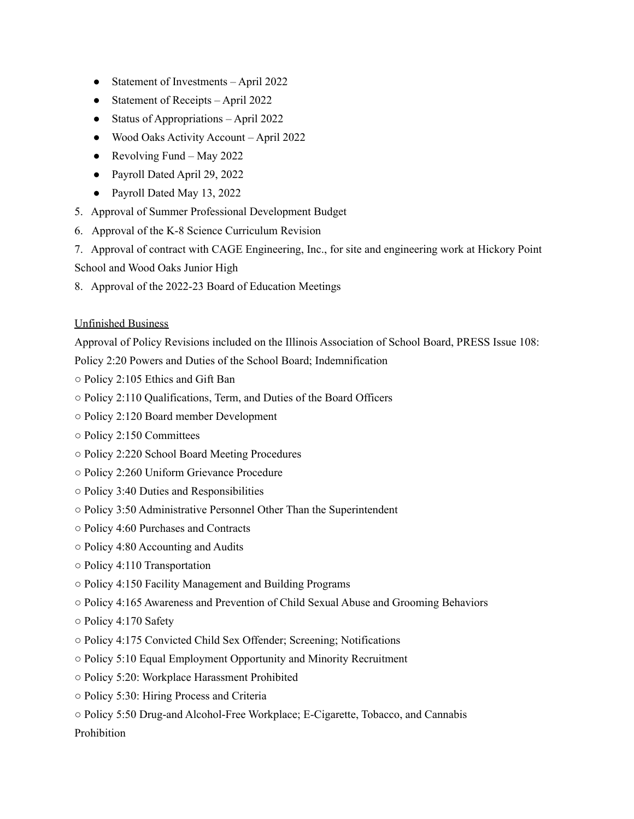- Statement of Investments April 2022
- Statement of Receipts April 2022
- Status of Appropriations April 2022
- Wood Oaks Activity Account April 2022
- Revolving Fund May 2022
- Payroll Dated April 29, 2022
- Payroll Dated May 13, 2022
- 5. Approval of Summer Professional Development Budget
- 6. Approval of the K-8 Science Curriculum Revision
- 7. Approval of contract with CAGE Engineering, Inc., for site and engineering work at Hickory Point School and Wood Oaks Junior High
- 8. Approval of the 2022-23 Board of Education Meetings

#### Unfinished Business

Approval of Policy Revisions included on the Illinois Association of School Board, PRESS Issue 108:

Policy 2:20 Powers and Duties of the School Board; Indemnification

- Policy 2:105 Ethics and Gift Ban
- Policy 2:110 Qualifications, Term, and Duties of the Board Officers
- Policy 2:120 Board member Development
- Policy 2:150 Committees
- Policy 2:220 School Board Meeting Procedures
- Policy 2:260 Uniform Grievance Procedure
- Policy 3:40 Duties and Responsibilities
- Policy 3:50 Administrative Personnel Other Than the Superintendent
- Policy 4:60 Purchases and Contracts
- Policy 4:80 Accounting and Audits
- Policy 4:110 Transportation
- Policy 4:150 Facility Management and Building Programs
- Policy 4:165 Awareness and Prevention of Child Sexual Abuse and Grooming Behaviors
- Policy 4:170 Safety
- Policy 4:175 Convicted Child Sex Offender; Screening; Notifications
- Policy 5:10 Equal Employment Opportunity and Minority Recruitment
- Policy 5:20: Workplace Harassment Prohibited
- Policy 5:30: Hiring Process and Criteria
- Policy 5:50 Drug-and Alcohol-Free Workplace; E-Cigarette, Tobacco, and Cannabis

Prohibition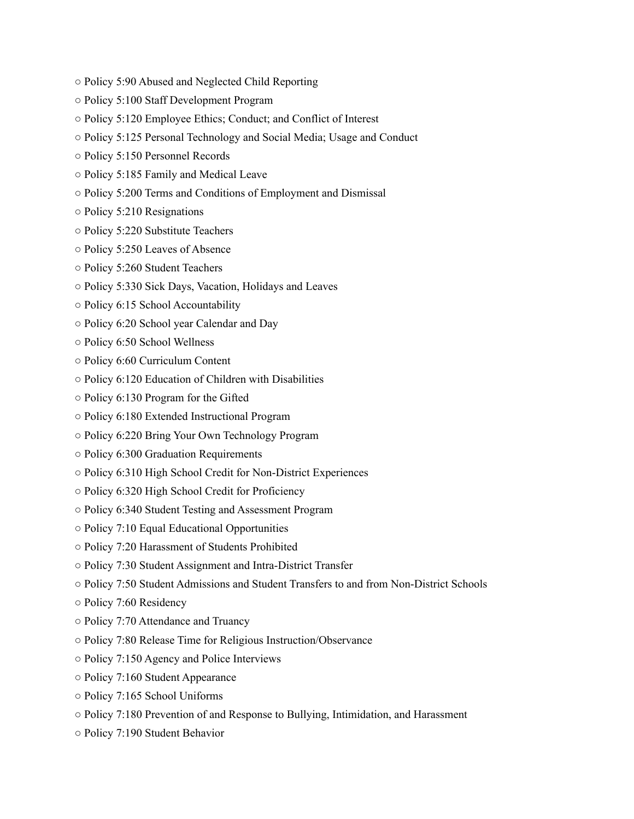- Policy 5:90 Abused and Neglected Child Reporting
- Policy 5:100 Staff Development Program
- Policy 5:120 Employee Ethics; Conduct; and Conflict of Interest
- Policy 5:125 Personal Technology and Social Media; Usage and Conduct
- Policy 5:150 Personnel Records
- Policy 5:185 Family and Medical Leave
- Policy 5:200 Terms and Conditions of Employment and Dismissal
- Policy 5:210 Resignations
- Policy 5:220 Substitute Teachers
- Policy 5:250 Leaves of Absence
- Policy 5:260 Student Teachers
- Policy 5:330 Sick Days, Vacation, Holidays and Leaves
- Policy 6:15 School Accountability
- Policy 6:20 School year Calendar and Day
- Policy 6:50 School Wellness
- Policy 6:60 Curriculum Content
- Policy 6:120 Education of Children with Disabilities
- Policy 6:130 Program for the Gifted
- Policy 6:180 Extended Instructional Program
- Policy 6:220 Bring Your Own Technology Program
- Policy 6:300 Graduation Requirements
- Policy 6:310 High School Credit for Non-District Experiences
- Policy 6:320 High School Credit for Proficiency
- Policy 6:340 Student Testing and Assessment Program
- Policy 7:10 Equal Educational Opportunities
- Policy 7:20 Harassment of Students Prohibited
- Policy 7:30 Student Assignment and Intra-District Transfer
- Policy 7:50 Student Admissions and Student Transfers to and from Non-District Schools
- Policy 7:60 Residency
- Policy 7:70 Attendance and Truancy
- Policy 7:80 Release Time for Religious Instruction/Observance
- Policy 7:150 Agency and Police Interviews
- Policy 7:160 Student Appearance
- Policy 7:165 School Uniforms
- Policy 7:180 Prevention of and Response to Bullying, Intimidation, and Harassment
- Policy 7:190 Student Behavior